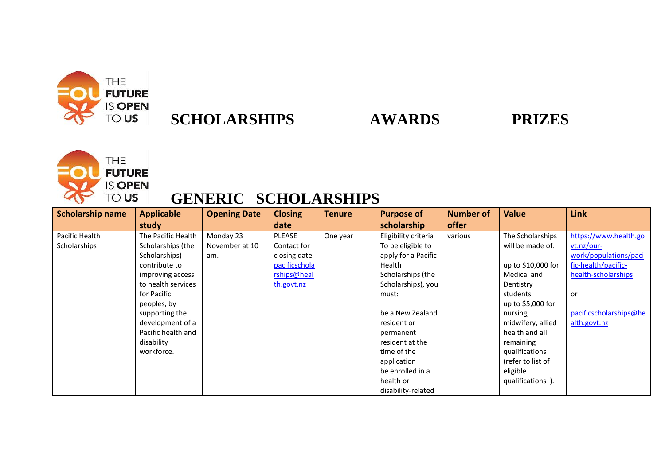

## **SCHOLARSHIPS AWARDS PRIZES**



## **GENERIC SCHOLARSHIPS**

| <b>Scholarship name</b> | <b>Applicable</b>  | <b>Opening Date</b> | <b>Closing</b> | <b>Tenure</b> | <b>Purpose of</b>    | <b>Number of</b> | <b>Value</b>       | Link                   |
|-------------------------|--------------------|---------------------|----------------|---------------|----------------------|------------------|--------------------|------------------------|
|                         | study              |                     | date           |               | scholarship          | offer            |                    |                        |
| Pacific Health          | The Pacific Health | Monday 23           | PLEASE         | One year      | Eligibility criteria | various          | The Scholarships   | https://www.health.go  |
| Scholarships            | Scholarships (the  | November at 10      | Contact for    |               | To be eligible to    |                  | will be made of:   | $vt.nz/our-$           |
|                         | Scholarships)      | am.                 | closing date   |               | apply for a Pacific  |                  |                    | work/populations/paci  |
|                         | contribute to      |                     | pacificschola  |               | Health               |                  | up to \$10,000 for | fic-health/pacific-    |
|                         | improving access   |                     | rships@heal    |               | Scholarships (the    |                  | Medical and        | health-scholarships    |
|                         | to health services |                     | th.govt.nz     |               | Scholarships), you   |                  | Dentistry          |                        |
|                         | for Pacific        |                     |                |               | must:                |                  | students           | or                     |
|                         | peoples, by        |                     |                |               |                      |                  | up to \$5,000 for  |                        |
|                         | supporting the     |                     |                |               | be a New Zealand     |                  | nursing,           | pacificscholarships@he |
|                         | development of a   |                     |                |               | resident or          |                  | midwifery, allied  | alth.govt.nz           |
|                         | Pacific health and |                     |                |               | permanent            |                  | health and all     |                        |
|                         | disability         |                     |                |               | resident at the      |                  | remaining          |                        |
|                         | workforce.         |                     |                |               | time of the          |                  | qualifications     |                        |
|                         |                    |                     |                |               | application          |                  | (refer to list of  |                        |
|                         |                    |                     |                |               | be enrolled in a     |                  | eligible           |                        |
|                         |                    |                     |                |               | health or            |                  | qualifications).   |                        |
|                         |                    |                     |                |               | disability-related   |                  |                    |                        |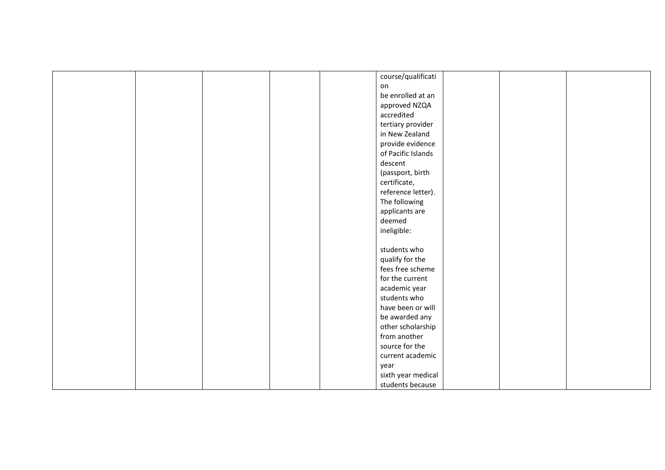|  |  | course/qualificati |  |  |
|--|--|--------------------|--|--|
|  |  | on                 |  |  |
|  |  | be enrolled at an  |  |  |
|  |  |                    |  |  |
|  |  | approved NZQA      |  |  |
|  |  | accredited         |  |  |
|  |  | tertiary provider  |  |  |
|  |  | in New Zealand     |  |  |
|  |  | provide evidence   |  |  |
|  |  | of Pacific Islands |  |  |
|  |  | descent            |  |  |
|  |  | (passport, birth   |  |  |
|  |  | certificate,       |  |  |
|  |  | reference letter). |  |  |
|  |  | The following      |  |  |
|  |  | applicants are     |  |  |
|  |  | deemed             |  |  |
|  |  | ineligible:        |  |  |
|  |  |                    |  |  |
|  |  | students who       |  |  |
|  |  | qualify for the    |  |  |
|  |  | fees free scheme   |  |  |
|  |  | for the current    |  |  |
|  |  | academic year      |  |  |
|  |  | students who       |  |  |
|  |  | have been or will  |  |  |
|  |  | be awarded any     |  |  |
|  |  | other scholarship  |  |  |
|  |  | from another       |  |  |
|  |  | source for the     |  |  |
|  |  |                    |  |  |
|  |  | current academic   |  |  |
|  |  | year               |  |  |
|  |  | sixth year medical |  |  |
|  |  | students because   |  |  |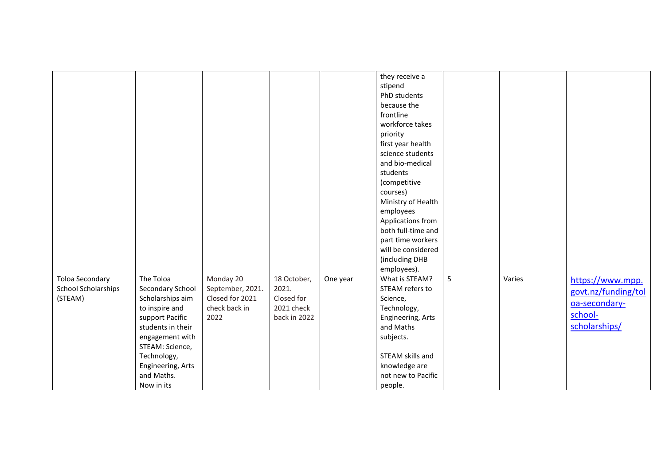|                                                                 |                                                                                                                                                              |                                                  |                                    |          | they receive a<br>stipend<br>PhD students<br>because the<br>frontline<br>workforce takes<br>priority<br>first year health<br>science students<br>and bio-medical<br>students<br>(competitive<br>courses)<br>Ministry of Health |   |        |                                                          |
|-----------------------------------------------------------------|--------------------------------------------------------------------------------------------------------------------------------------------------------------|--------------------------------------------------|------------------------------------|----------|--------------------------------------------------------------------------------------------------------------------------------------------------------------------------------------------------------------------------------|---|--------|----------------------------------------------------------|
| <b>Toloa Secondary</b><br><b>School Scholarships</b><br>(STEAM) | The Toloa<br>Secondary School<br>Scholarships aim                                                                                                            | Monday 20<br>September, 2021.<br>Closed for 2021 | 18 October,<br>2021.<br>Closed for | One year | part time workers<br>will be considered<br>(including DHB<br>employees).<br>What is STEAM?<br>STEAM refers to<br>Science,                                                                                                      | 5 | Varies | https://www.mpp.<br>govt.nz/funding/tol<br>oa-secondary- |
|                                                                 | to inspire and<br>support Pacific<br>students in their<br>engagement with<br>STEAM: Science,<br>Technology,<br>Engineering, Arts<br>and Maths.<br>Now in its | check back in<br>2022                            | 2021 check<br>back in 2022         |          | Technology,<br>Engineering, Arts<br>and Maths<br>subjects.<br>STEAM skills and<br>knowledge are<br>not new to Pacific<br>people.                                                                                               |   |        | school-<br>scholarships/                                 |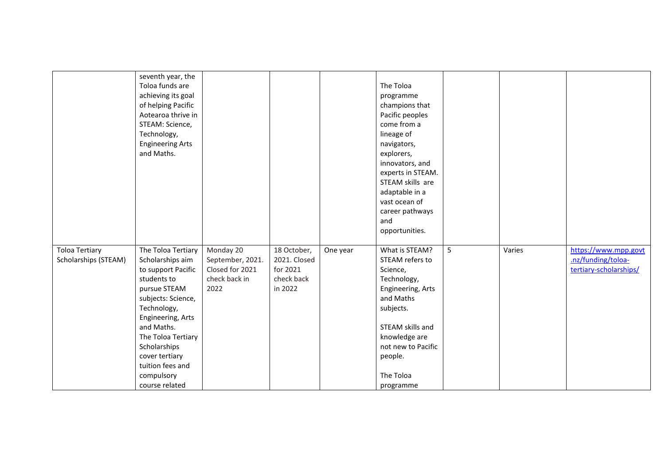|                       | seventh year, the<br>Toloa funds are<br>achieving its goal<br>of helping Pacific<br>Aotearoa thrive in<br>STEAM: Science,<br>Technology,<br><b>Engineering Arts</b><br>and Maths. |                  |              |          | The Toloa<br>programme<br>champions that<br>Pacific peoples<br>come from a<br>lineage of<br>navigators,<br>explorers,<br>innovators, and<br>experts in STEAM.<br>STEAM skills are |   |        |                        |
|-----------------------|-----------------------------------------------------------------------------------------------------------------------------------------------------------------------------------|------------------|--------------|----------|-----------------------------------------------------------------------------------------------------------------------------------------------------------------------------------|---|--------|------------------------|
|                       |                                                                                                                                                                                   |                  |              |          | adaptable in a                                                                                                                                                                    |   |        |                        |
|                       |                                                                                                                                                                                   |                  |              |          | vast ocean of                                                                                                                                                                     |   |        |                        |
|                       |                                                                                                                                                                                   |                  |              |          | career pathways                                                                                                                                                                   |   |        |                        |
|                       |                                                                                                                                                                                   |                  |              |          | and                                                                                                                                                                               |   |        |                        |
|                       |                                                                                                                                                                                   |                  |              |          | opportunities.                                                                                                                                                                    |   |        |                        |
| <b>Toloa Tertiary</b> | The Toloa Tertiary                                                                                                                                                                | Monday 20        | 18 October,  | One year | What is STEAM?                                                                                                                                                                    | 5 | Varies | https://www.mpp.govt   |
| Scholarships (STEAM)  | Scholarships aim                                                                                                                                                                  | September, 2021. | 2021. Closed |          | STEAM refers to                                                                                                                                                                   |   |        | .nz/funding/toloa-     |
|                       | to support Pacific                                                                                                                                                                | Closed for 2021  | for 2021     |          | Science,                                                                                                                                                                          |   |        | tertiary-scholarships/ |
|                       | students to                                                                                                                                                                       | check back in    | check back   |          | Technology,                                                                                                                                                                       |   |        |                        |
|                       | pursue STEAM                                                                                                                                                                      | 2022             | in 2022      |          | Engineering, Arts                                                                                                                                                                 |   |        |                        |
|                       | subjects: Science,<br>Technology,                                                                                                                                                 |                  |              |          | and Maths<br>subjects.                                                                                                                                                            |   |        |                        |
|                       | Engineering, Arts                                                                                                                                                                 |                  |              |          |                                                                                                                                                                                   |   |        |                        |
|                       | and Maths.                                                                                                                                                                        |                  |              |          | STEAM skills and                                                                                                                                                                  |   |        |                        |
|                       | The Toloa Tertiary                                                                                                                                                                |                  |              |          | knowledge are                                                                                                                                                                     |   |        |                        |
|                       | Scholarships                                                                                                                                                                      |                  |              |          | not new to Pacific                                                                                                                                                                |   |        |                        |
|                       | cover tertiary                                                                                                                                                                    |                  |              |          | people.                                                                                                                                                                           |   |        |                        |
|                       | tuition fees and                                                                                                                                                                  |                  |              |          |                                                                                                                                                                                   |   |        |                        |
|                       | compulsory                                                                                                                                                                        |                  |              |          | The Toloa                                                                                                                                                                         |   |        |                        |
|                       | course related                                                                                                                                                                    |                  |              |          | programme                                                                                                                                                                         |   |        |                        |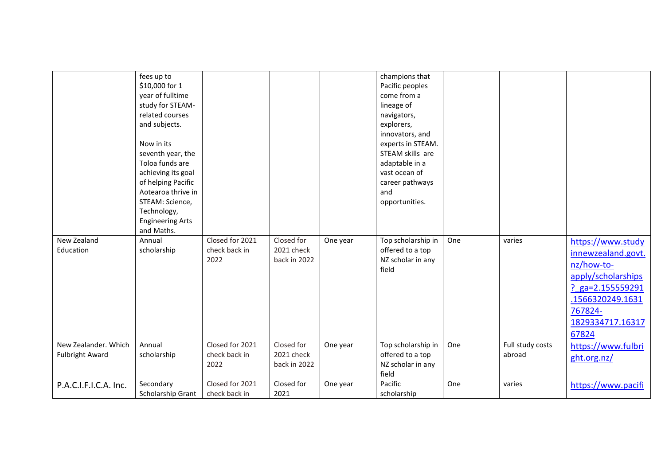|                        | fees up to              |                 |              |          | champions that     |     |                  |                    |
|------------------------|-------------------------|-----------------|--------------|----------|--------------------|-----|------------------|--------------------|
|                        | \$10,000 for 1          |                 |              |          | Pacific peoples    |     |                  |                    |
|                        | year of fulltime        |                 |              |          | come from a        |     |                  |                    |
|                        | study for STEAM-        |                 |              |          | lineage of         |     |                  |                    |
|                        | related courses         |                 |              |          | navigators,        |     |                  |                    |
|                        | and subjects.           |                 |              |          | explorers,         |     |                  |                    |
|                        |                         |                 |              |          | innovators, and    |     |                  |                    |
|                        | Now in its              |                 |              |          | experts in STEAM.  |     |                  |                    |
|                        | seventh year, the       |                 |              |          | STEAM skills are   |     |                  |                    |
|                        | Toloa funds are         |                 |              |          | adaptable in a     |     |                  |                    |
|                        | achieving its goal      |                 |              |          | vast ocean of      |     |                  |                    |
|                        | of helping Pacific      |                 |              |          | career pathways    |     |                  |                    |
|                        | Aotearoa thrive in      |                 |              |          | and                |     |                  |                    |
|                        | STEAM: Science,         |                 |              |          | opportunities.     |     |                  |                    |
|                        | Technology,             |                 |              |          |                    |     |                  |                    |
|                        | <b>Engineering Arts</b> |                 |              |          |                    |     |                  |                    |
|                        | and Maths.              |                 |              |          |                    |     |                  |                    |
| New Zealand            | Annual                  | Closed for 2021 | Closed for   | One year | Top scholarship in | One | varies           | https://www.study  |
| Education              | scholarship             | check back in   | 2021 check   |          | offered to a top   |     |                  | innewzealand.govt. |
|                        |                         | 2022            | back in 2022 |          | NZ scholar in any  |     |                  | nz/how-to-         |
|                        |                         |                 |              |          | field              |     |                  |                    |
|                        |                         |                 |              |          |                    |     |                  | apply/scholarships |
|                        |                         |                 |              |          |                    |     |                  | ? $ga=2.155559291$ |
|                        |                         |                 |              |          |                    |     |                  | .1566320249.1631   |
|                        |                         |                 |              |          |                    |     |                  | 767824-            |
|                        |                         |                 |              |          |                    |     |                  | 1829334717.16317   |
|                        |                         |                 |              |          |                    |     |                  | 67824              |
|                        |                         |                 |              |          |                    |     |                  |                    |
| New Zealander. Which   | Annual                  | Closed for 2021 | Closed for   | One year | Top scholarship in | One | Full study costs | https://www.fulbri |
| <b>Fulbright Award</b> | scholarship             | check back in   | 2021 check   |          | offered to a top   |     | abroad           | ght.org.nz/        |
|                        |                         | 2022            | back in 2022 |          | NZ scholar in any  |     |                  |                    |
|                        |                         |                 |              |          | field              |     |                  |                    |
| P.A.C.I.F.I.C.A. Inc.  | Secondary               | Closed for 2021 | Closed for   | One year | Pacific            | One | varies           | https://www.pacifi |
|                        | Scholarship Grant       | check back in   | 2021         |          | scholarship        |     |                  |                    |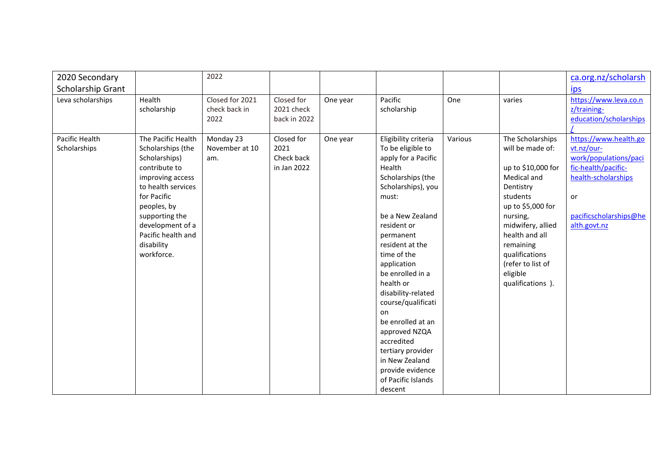| 2020 Secondary                 |                                                                                                                                                                                                                                           | 2022                                     |                                                 |          |                                                                                                                                                                                                                                                                                                                                                                                                                                                                    |         |                                                                                                                                                                                                                                                                 | ca.org.nz/scholarsh                                                                                                                                        |
|--------------------------------|-------------------------------------------------------------------------------------------------------------------------------------------------------------------------------------------------------------------------------------------|------------------------------------------|-------------------------------------------------|----------|--------------------------------------------------------------------------------------------------------------------------------------------------------------------------------------------------------------------------------------------------------------------------------------------------------------------------------------------------------------------------------------------------------------------------------------------------------------------|---------|-----------------------------------------------------------------------------------------------------------------------------------------------------------------------------------------------------------------------------------------------------------------|------------------------------------------------------------------------------------------------------------------------------------------------------------|
| <b>Scholarship Grant</b>       |                                                                                                                                                                                                                                           |                                          |                                                 |          |                                                                                                                                                                                                                                                                                                                                                                                                                                                                    |         |                                                                                                                                                                                                                                                                 | <u>ips</u>                                                                                                                                                 |
| Leva scholarships              | Health<br>scholarship                                                                                                                                                                                                                     | Closed for 2021<br>check back in<br>2022 | Closed for<br>2021 check<br>back in 2022        | One year | Pacific<br>scholarship                                                                                                                                                                                                                                                                                                                                                                                                                                             | One     | varies                                                                                                                                                                                                                                                          | https://www.leva.co.n<br>z/training-<br>education/scholarships                                                                                             |
| Pacific Health<br>Scholarships | The Pacific Health<br>Scholarships (the<br>Scholarships)<br>contribute to<br>improving access<br>to health services<br>for Pacific<br>peoples, by<br>supporting the<br>development of a<br>Pacific health and<br>disability<br>workforce. | Monday 23<br>November at 10<br>am.       | Closed for<br>2021<br>Check back<br>in Jan 2022 | One year | Eligibility criteria<br>To be eligible to<br>apply for a Pacific<br>Health<br>Scholarships (the<br>Scholarships), you<br>must:<br>be a New Zealand<br>resident or<br>permanent<br>resident at the<br>time of the<br>application<br>be enrolled in a<br>health or<br>disability-related<br>course/qualificati<br>on<br>be enrolled at an<br>approved NZQA<br>accredited<br>tertiary provider<br>in New Zealand<br>provide evidence<br>of Pacific Islands<br>descent | Various | The Scholarships<br>will be made of:<br>up to \$10,000 for<br>Medical and<br>Dentistry<br>students<br>up to \$5,000 for<br>nursing,<br>midwifery, allied<br>health and all<br>remaining<br>qualifications<br>(refer to list of<br>eligible<br>qualifications ). | https://www.health.go<br>vt.nz/our-<br>work/populations/paci<br>fic-health/pacific-<br>health-scholarships<br>or<br>pacificscholarships@he<br>alth.govt.nz |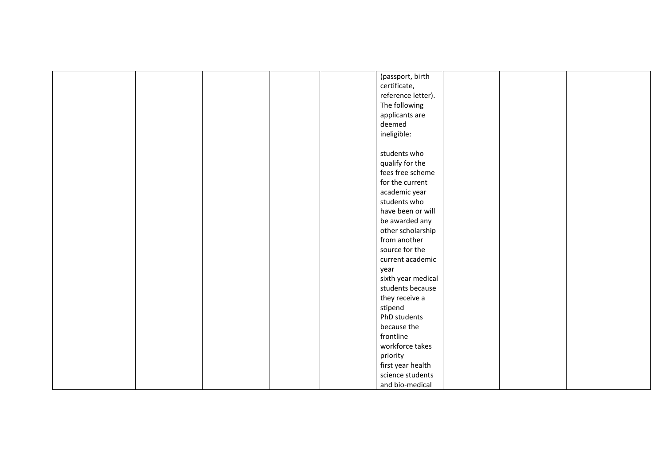|  |  | (passport, birth   |  |  |
|--|--|--------------------|--|--|
|  |  | certificate,       |  |  |
|  |  | reference letter). |  |  |
|  |  | The following      |  |  |
|  |  | applicants are     |  |  |
|  |  | deemed             |  |  |
|  |  | ineligible:        |  |  |
|  |  |                    |  |  |
|  |  | students who       |  |  |
|  |  | qualify for the    |  |  |
|  |  | fees free scheme   |  |  |
|  |  | for the current    |  |  |
|  |  | academic year      |  |  |
|  |  | students who       |  |  |
|  |  | have been or will  |  |  |
|  |  | be awarded any     |  |  |
|  |  | other scholarship  |  |  |
|  |  | from another       |  |  |
|  |  |                    |  |  |
|  |  | source for the     |  |  |
|  |  | current academic   |  |  |
|  |  | year               |  |  |
|  |  | sixth year medical |  |  |
|  |  | students because   |  |  |
|  |  | they receive a     |  |  |
|  |  | stipend            |  |  |
|  |  | PhD students       |  |  |
|  |  | because the        |  |  |
|  |  | frontline          |  |  |
|  |  | workforce takes    |  |  |
|  |  | priority           |  |  |
|  |  | first year health  |  |  |
|  |  | science students   |  |  |
|  |  | and bio-medical    |  |  |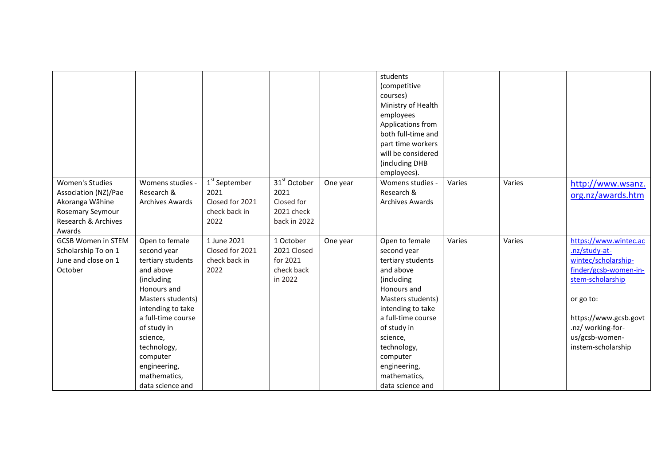|                                                                                                                        |                                                                                                                                                                                                                                                                        |                                                                               |                                                                    |          | students<br>(competitive<br>courses)<br>Ministry of Health<br>employees<br>Applications from<br>both full-time and<br>part time workers<br>will be considered<br>(including DHB<br>employees).                                                                         |        |        |                                                                                                                                                                                                               |
|------------------------------------------------------------------------------------------------------------------------|------------------------------------------------------------------------------------------------------------------------------------------------------------------------------------------------------------------------------------------------------------------------|-------------------------------------------------------------------------------|--------------------------------------------------------------------|----------|------------------------------------------------------------------------------------------------------------------------------------------------------------------------------------------------------------------------------------------------------------------------|--------|--------|---------------------------------------------------------------------------------------------------------------------------------------------------------------------------------------------------------------|
| <b>Women's Studies</b><br>Association (NZ)/Pae<br>Akoranga Wāhine<br>Rosemary Seymour<br>Research & Archives<br>Awards | Womens studies -<br>Research &<br><b>Archives Awards</b>                                                                                                                                                                                                               | 1 <sup>st</sup> September<br>2021<br>Closed for 2021<br>check back in<br>2022 | $31st$ October<br>2021<br>Closed for<br>2021 check<br>back in 2022 | One year | Womens studies -<br>Research &<br><b>Archives Awards</b>                                                                                                                                                                                                               | Varies | Varies | http://www.wsanz.<br>org.nz/awards.htm                                                                                                                                                                        |
| <b>GCSB Women in STEM</b><br>Scholarship To on 1<br>June and close on 1<br>October                                     | Open to female<br>second year<br>tertiary students<br>and above<br>(including<br>Honours and<br>Masters students)<br>intending to take<br>a full-time course<br>of study in<br>science,<br>technology,<br>computer<br>engineering,<br>mathematics,<br>data science and | 1 June 2021<br>Closed for 2021<br>check back in<br>2022                       | 1 October<br>2021 Closed<br>for 2021<br>check back<br>in 2022      | One year | Open to female<br>second year<br>tertiary students<br>and above<br>(including<br>Honours and<br>Masters students)<br>intending to take<br>a full-time course<br>of study in<br>science,<br>technology,<br>computer<br>engineering,<br>mathematics,<br>data science and | Varies | Varies | https://www.wintec.ac<br>.nz/study-at-<br>wintec/scholarship-<br>finder/gcsb-women-in-<br>stem-scholarship<br>or go to:<br>https://www.gcsb.govt<br>.nz/ working-for-<br>us/gcsb-women-<br>instem-scholarship |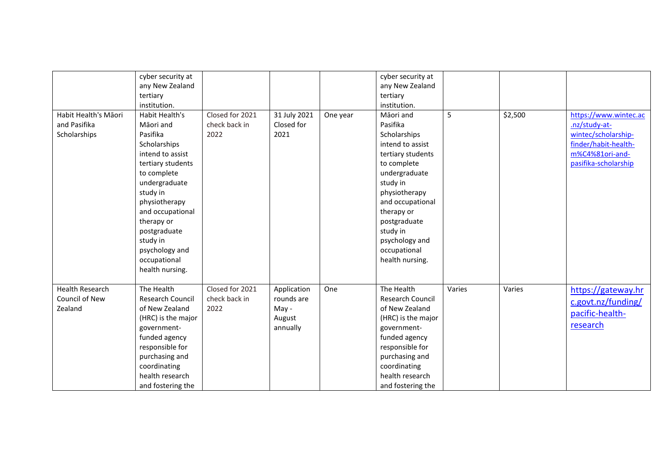| Habit Health's Māori<br>and Pasifika<br>Scholarships | cyber security at<br>any New Zealand<br>tertiary<br>institution.<br>Habit Health's<br>Māori and<br>Pasifika<br>Scholarships<br>intend to assist<br>tertiary students<br>to complete<br>undergraduate<br>study in<br>physiotherapy<br>and occupational<br>therapy or<br>postgraduate<br>study in<br>psychology and<br>occupational<br>health nursing. | Closed for 2021<br>check back in<br>2022 | 31 July 2021<br>Closed for<br>2021                       | One year | cyber security at<br>any New Zealand<br>tertiary<br>institution.<br>Māori and<br>Pasifika<br>Scholarships<br>intend to assist<br>tertiary students<br>to complete<br>undergraduate<br>study in<br>physiotherapy<br>and occupational<br>therapy or<br>postgraduate<br>study in<br>psychology and<br>occupational<br>health nursing. | 5      | \$2,500 | https://www.wintec.ac<br>.nz/study-at-<br>wintec/scholarship-<br>finder/habit-health-<br>m%C4%81ori-and-<br>pasifika-scholarship |
|------------------------------------------------------|------------------------------------------------------------------------------------------------------------------------------------------------------------------------------------------------------------------------------------------------------------------------------------------------------------------------------------------------------|------------------------------------------|----------------------------------------------------------|----------|------------------------------------------------------------------------------------------------------------------------------------------------------------------------------------------------------------------------------------------------------------------------------------------------------------------------------------|--------|---------|----------------------------------------------------------------------------------------------------------------------------------|
| <b>Health Research</b><br>Council of New<br>Zealand  | The Health<br><b>Research Council</b><br>of New Zealand<br>(HRC) is the major<br>government-<br>funded agency<br>responsible for<br>purchasing and<br>coordinating<br>health research<br>and fostering the                                                                                                                                           | Closed for 2021<br>check back in<br>2022 | Application<br>rounds are<br>May -<br>August<br>annually | One      | The Health<br><b>Research Council</b><br>of New Zealand<br>(HRC) is the major<br>government-<br>funded agency<br>responsible for<br>purchasing and<br>coordinating<br>health research<br>and fostering the                                                                                                                         | Varies | Varies  | https://gateway.hr<br>c.govt.nz/funding/<br>pacific-health-<br>research                                                          |